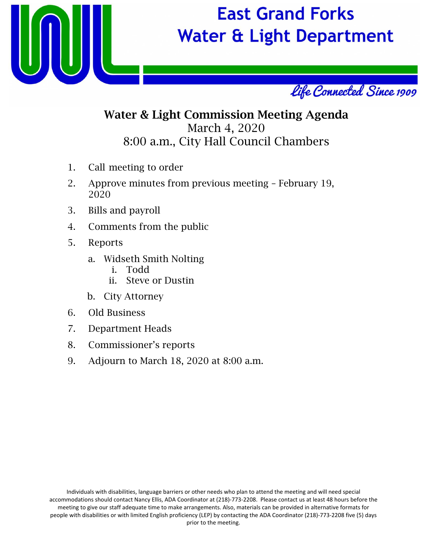

## **East Grand Forks Water & Light Department**



### Water & Light Commission Meeting Agenda March 4, 2020 8:00 a.m., City Hall Council Chambers

- 1. Call meeting to order
- 2. Approve minutes from previous meeting February 19, 2020
- 3. Bills and payroll
- 4. Comments from the public
- 5. Reports
	- a. Widseth Smith Nolting
		- i. Todd
		- ii. Steve or Dustin
	- b. City Attorney
- 6. Old Business
- 7. Department Heads
- 8. Commissioner's reports
- 9. Adjourn to March 18, 2020 at 8:00 a.m.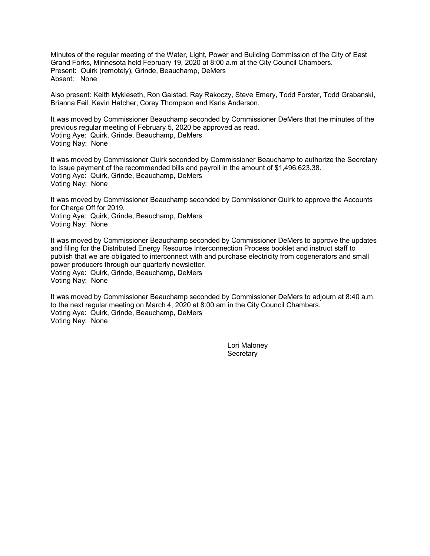Minutes of the regular meeting of the Water, Light, Power and Building Commission of the City of East Grand Forks, Minnesota held February 19, 2020 at 8:00 a.m at the City Council Chambers. Present: Quirk (remotely), Grinde, Beauchamp, DeMers Absent: None

Also present: Keith Mykleseth, Ron Galstad, Ray Rakoczy, Steve Emery, Todd Forster, Todd Grabanski, Brianna Feil, Kevin Hatcher, Corey Thompson and Karla Anderson.

It was moved by Commissioner Beauchamp seconded by Commissioner DeMers that the minutes of the previous regular meeting of February 5, 2020 be approved as read. Voting Aye: Quirk, Grinde, Beauchamp, DeMers Voting Nay: None

It was moved by Commissioner Quirk seconded by Commissioner Beauchamp to authorize the Secretary to issue payment of the recommended bills and payroll in the amount of \$1,496,623.38. Voting Aye: Quirk, Grinde, Beauchamp, DeMers Voting Nay: None

It was moved by Commissioner Beauchamp seconded by Commissioner Quirk to approve the Accounts for Charge Off for 2019. Voting Aye: Quirk, Grinde, Beauchamp, DeMers Voting Nay: None

It was moved by Commissioner Beauchamp seconded by Commissioner DeMers to approve the updates and filing for the Distributed Energy Resource Interconnection Process booklet and instruct staff to publish that we are obligated to interconnect with and purchase electricity from cogenerators and small power producers through our quarterly newsletter. Voting Aye: Quirk, Grinde, Beauchamp, DeMers Voting Nay: None

It was moved by Commissioner Beauchamp seconded by Commissioner DeMers to adjourn at 8:40 a.m. to the next regular meeting on March 4, 2020 at 8:00 am in the City Council Chambers. Voting Aye: Quirk, Grinde, Beauchamp, DeMers Voting Nay: None

> Lori Maloney **Secretary**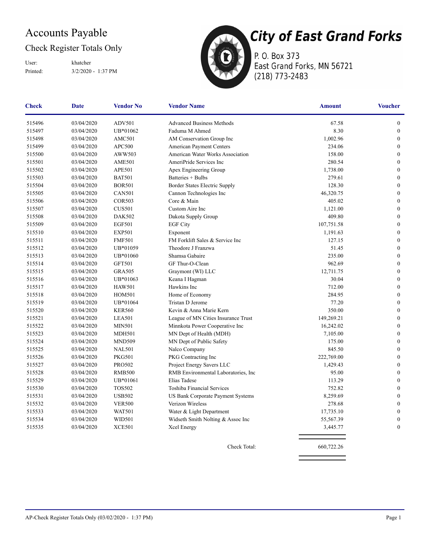### Accounts Payable

#### Check Register Totals Only

Printed: 3/2/2020 - 1:37 PM User: khatcher



P. O. Box 373 East Grand Forks, MN 56721 (218) 773-2483

| <b>Check</b> | <b>Date</b> | <b>Vendor No</b> | <b>Vendor Name</b>                   | <b>Amount</b> | <b>Voucher</b>   |
|--------------|-------------|------------------|--------------------------------------|---------------|------------------|
| 515496       | 03/04/2020  | ADV501           | <b>Advanced Business Methods</b>     | 67.58         | $\boldsymbol{0}$ |
| 515497       | 03/04/2020  | UB*01062         | Faduma M Ahmed                       | 8.30          | $\boldsymbol{0}$ |
| 515498       | 03/04/2020  | AMC501           | AM Conservation Group Inc            | 1,002.96      | $\boldsymbol{0}$ |
| 515499       | 03/04/2020  | APC500           | American Payment Centers             | 234.06        | $\mathbf{0}$     |
| 515500       | 03/04/2020  | AWW503           | American Water Works Association     | 158.00        | $\boldsymbol{0}$ |
| 515501       | 03/04/2020  | <b>AME501</b>    | AmeriPride Services Inc              | 280.54        | $\boldsymbol{0}$ |
| 515502       | 03/04/2020  | <b>APE501</b>    | Apex Engineering Group               | 1,738.00      | $\boldsymbol{0}$ |
| 515503       | 03/04/2020  | <b>BAT501</b>    | Batteries + Bulbs                    | 279.61        | $\mathbf{0}$     |
| 515504       | 03/04/2020  | <b>BOR501</b>    | Border States Electric Supply        | 128.30        | $\boldsymbol{0}$ |
| 515505       | 03/04/2020  | <b>CAN501</b>    | Cannon Technologies Inc              | 46,320.75     | $\mathbf{0}$     |
| 515506       | 03/04/2020  | <b>COR503</b>    | Core & Main                          | 405.02        | $\mathbf{0}$     |
| 515507       | 03/04/2020  | <b>CUS501</b>    | Custom Aire Inc                      | 1,121.00      | $\boldsymbol{0}$ |
| 515508       | 03/04/2020  | <b>DAK502</b>    | Dakota Supply Group                  | 409.80        | $\boldsymbol{0}$ |
| 515509       | 03/04/2020  | <b>EGF501</b>    | <b>EGF City</b>                      | 107,751.58    | $\mathbf{0}$     |
| 515510       | 03/04/2020  | <b>EXP501</b>    | Exponent                             | 1,191.63      | $\mathbf{0}$     |
| 515511       | 03/04/2020  | <b>FMF501</b>    | FM Forklift Sales & Service Inc      | 127.15        | $\boldsymbol{0}$ |
| 515512       | 03/04/2020  | UB*01059         | Theodore J Franzwa                   | 51.45         | $\boldsymbol{0}$ |
| 515513       | 03/04/2020  | UB*01060         | Shamsa Gabaire                       | 235.00        | $\mathbf{0}$     |
| 515514       | 03/04/2020  | <b>GFT501</b>    | GF Thur-O-Clean                      | 962.69        | $\boldsymbol{0}$ |
| 515515       | 03/04/2020  | <b>GRA505</b>    | Graymont (WI) LLC                    | 12,711.75     | $\boldsymbol{0}$ |
| 515516       | 03/04/2020  | UB*01063         | Keana I Hagman                       | 30.04         | $\boldsymbol{0}$ |
| 515517       | 03/04/2020  | <b>HAW501</b>    | Hawkins Inc                          | 712.00        | $\boldsymbol{0}$ |
| 515518       | 03/04/2020  | <b>HOM501</b>    | Home of Economy                      | 284.95        | $\mathbf{0}$     |
| 515519       | 03/04/2020  | UB*01064         | Tristan D Jerome                     | 77.20         | $\boldsymbol{0}$ |
| 515520       | 03/04/2020  | <b>KER560</b>    | Kevin & Anna Marie Kern              | 350.00        | $\boldsymbol{0}$ |
| 515521       | 03/04/2020  | <b>LEA501</b>    | League of MN Cities Insurance Trust  | 149,269.21    | $\mathbf{0}$     |
| 515522       | 03/04/2020  | <b>MIN501</b>    | Minnkota Power Cooperative Inc       | 16,242.02     | $\mathbf{0}$     |
| 515523       | 03/04/2020  | <b>MDH501</b>    | MN Dept of Health (MDH)              | 7,105.00      | $\boldsymbol{0}$ |
| 515524       | 03/04/2020  | <b>MND509</b>    | MN Dept of Public Safety             | 175.00        | $\mathbf{0}$     |
| 515525       | 03/04/2020  | <b>NAL501</b>    | Nalco Company                        | 845.50        | $\mathbf{0}$     |
| 515526       | 03/04/2020  | <b>PKG501</b>    | PKG Contracting Inc                  | 222,769.00    | $\boldsymbol{0}$ |
| 515527       | 03/04/2020  | <b>PRO502</b>    | Project Energy Savers LLC            | 1,429.43      | $\mathbf{0}$     |
| 515528       | 03/04/2020  | <b>RMB500</b>    | RMB Environmental Laboratories, Inc. | 95.00         | $\boldsymbol{0}$ |
| 515529       | 03/04/2020  | UB*01061         | Elias Tadese                         | 113.29        | $\boldsymbol{0}$ |
| 515530       | 03/04/2020  | <b>TOS502</b>    | <b>Toshiba Financial Services</b>    | 752.82        | $\mathbf{0}$     |
| 515531       | 03/04/2020  | <b>USB502</b>    | US Bank Corporate Payment Systems    | 8,259.69      | $\boldsymbol{0}$ |
| 515532       | 03/04/2020  | <b>VER500</b>    | Verizon Wireless                     | 278.68        | $\boldsymbol{0}$ |
| 515533       | 03/04/2020  | <b>WAT501</b>    | Water & Light Department             | 17,735.10     | $\mathbf{0}$     |
| 515534       | 03/04/2020  | WID501           | Widseth Smith Nolting & Assoc Inc    | 55,567.39     | $\mathbf{0}$     |
| 515535       | 03/04/2020  | <b>XCE501</b>    | Xcel Energy                          | 3,445.77      | $\boldsymbol{0}$ |
|              |             |                  | Check Total:                         | 660,722.26    |                  |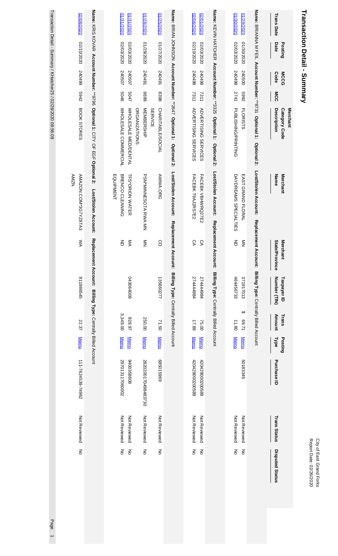# Transaction Detail - Summary **Transaction Detail - Summary**

| 02/08/2020                           |                                                                             | 01/31/2020<br>0202/12020                               | 0202/82/10<br>01/25/2020                                           |                                                                    | 02/08/2020<br>02/01/2020                                   |                                                                       | 02/20/2020<br>0202/62/10                   |                                                                     | <b>Trans Date</b>                               |
|--------------------------------------|-----------------------------------------------------------------------------|--------------------------------------------------------|--------------------------------------------------------------------|--------------------------------------------------------------------|------------------------------------------------------------|-----------------------------------------------------------------------|--------------------------------------------|---------------------------------------------------------------------|-------------------------------------------------|
| 0202/01/2020                         |                                                                             | 02/03/2020<br>02/03/2020                               | 0202/22/12<br>0202/62/10                                           |                                                                    | 0202/01/2020<br>02/03/2020                                 |                                                                       | 02/03/2020<br>0202/02020                   |                                                                     | Date<br>Posting                                 |
| 540499                               |                                                                             | 240507<br>240507                                       | 167042<br>167042                                                   |                                                                    | 240498<br>240498                                           |                                                                       | 240498<br>240500                           |                                                                     | <b>MCCG</b><br><b>Code</b>                      |
| 2769                                 |                                                                             | 5046<br>5047                                           | 8398<br>6698                                                       |                                                                    | 7311<br>7311                                               |                                                                       | 2741<br>2669                               |                                                                     | MCC                                             |
| BOOK STORES                          | Name: KRIS KOVAR Account Number: **9796 Optional 1: CITY OF EGF Optional 2: | WHOLE SALE COMMERCIAL<br>WHOLE SALE MED/DENTAL         | NEMBERSHIP<br>CHARITABLE/SOCIAL<br><b>SERVICE</b><br>ORGANIZATIONS | Name: BRIAN JOHNSON Account Number: **2647 Optional 1: Optional 2: | <b>ADVERTISING SERVICES</b><br><b>ADVERTISING SERVICES</b> | Name: KEVIN HATCHER Account Number: **3325 Optional 1:<br>Optional 2: | PUBLISHING/PRINTING<br><b>FLORISTS</b>     | Name: BRIANNA M FEIL Account Number: **8731 Optional 1: Optional 2: | Merchant<br>Description<br><b>Category Code</b> |
| <b>AMZMA</b><br>AMAZON.COM*3G7YZ8TA3 | Lost/Stolen Account:                                                        | BRENCO CLEANING<br><b>TFS*ORION WATER</b><br>EQUIPMENT | PSN*MINNESOHA RNA MAN<br>AWWA.ORG                                  | Lost/Stolen Account:                                               | FACEBK T9AJ2RS7E2<br>FACEBK VBHWRQ27E2                     | Lost/Stolen Account:                                                  | DAYDREAMS SPECIALTIES<br>EAST GRAND FLORAL | Lost/Stolen Account:                                                | <b>Name</b><br><b>Merchant</b>                  |
| ŠХ                                   | Replace<br>ment Account:                                                    | ŠΜ<br>증                                                | $\frac{8}{2}$<br>8                                                 | Replacement Account:                                               | СA<br>СA                                                   | Replacement Account:                                                  | 증<br>$\frac{2}{2}$                         | Replacement Account:                                                | State/Province<br><b>Merchant</b>               |
| 911986545                            |                                                                             | 0001306400                                             | 135660277                                                          | Billing Type: Centrally Billed Account                             | 274444984<br>274444984                                     | Billing Type: Centrally Billed Account                                | 464456733<br>371917013                     | Billing Type: Centrally Billed Account                              | Number (TIN)<br>Taxpayer ID                     |
| 22.37                                |                                                                             | 3,349.00<br>1928.97                                    | 250.00<br>71.50                                                    |                                                                    | 17.89<br>75.00                                             |                                                                       | ↮<br>12.69<br>11.80                        |                                                                     | Amount<br>Trans                                 |
| <b>Memo</b>                          | Billing Type: Centrally Billed Account                                      | <b>Memo</b><br><b>Memo</b>                             | <b>Memo</b><br><b>Memo</b>                                         |                                                                    | <b>Memo</b><br><b>Memo</b>                                 |                                                                       | <b>Memo</b><br><b>Memo</b>                 |                                                                     | Posting<br><b>Type</b>                          |
| 111-7624539-74962                    |                                                                             | 297013117060002<br>9400358608                          | 696912999<br>2820200170498483730                                   |                                                                    | 420429000200589<br>420429000200589                         |                                                                       | 50183345                                   |                                                                     | Purchase ID                                     |
| Not Reviewed                         |                                                                             | Not Reviewed<br>Not Reviewed                           | Not Reviewed<br>Not Reviewed                                       |                                                                    | Not Reviewed<br>Not Reviewed                               |                                                                       | Not Reviewed<br>Not Reviewed               |                                                                     | <b>Trans Status</b>                             |
| š                                    |                                                                             | š<br>$\overline{5}$                                    | ξ<br>ξ                                                             |                                                                    | ξ<br>$\mathsf{K}_{\mathsf{D}}$                             |                                                                       | š<br>$\mathop{\hbox{\bf Z}}\limits_{}$     |                                                                     | <b>Disputed Status</b>                          |

Transaction Detail - Summary / KHatcher25 / 02/26/2020 08:56:09 Transaction Detail - Summary / KHatcher257 02/26/2020 08:56:09 Page 1 - Summary 1996 Page 1997 Page 1998 Page 1

Page 1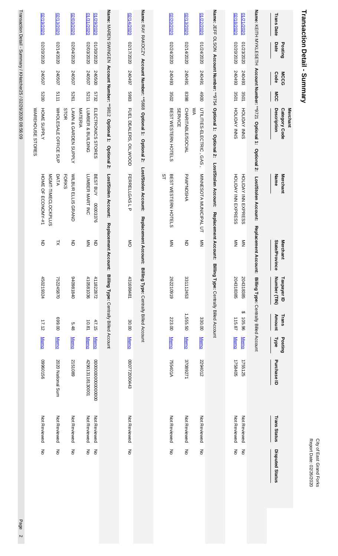| <b>Transaction Detail - Summary</b><br><b>Trans Date</b><br>Date<br>Posting | <b>MCCG</b><br><b>Code</b> |                 | MCC        | Description<br>Category Code<br>Merchant                        | Name<br>Merchant                             | <b>State/I</b><br><b>Merchant</b><br>Province | Number (TIN)<br>Taxpayer ID            | Trans<br>Amount                              | Posting<br><b>Type</b>     | Purchase ID        | <b>Trans Status</b>          | <b>Disputed Status</b>                     |
|-----------------------------------------------------------------------------|----------------------------|-----------------|------------|-----------------------------------------------------------------|----------------------------------------------|-----------------------------------------------|----------------------------------------|----------------------------------------------|----------------------------|--------------------|------------------------------|--------------------------------------------|
| Name: KEITH NYKLESETH                                                       |                            | Account Number: |            | **9721 Optional 1:<br><b>Optional 2:</b>                        | Lost/Stolen Account:                         | <b>Replacemen</b><br>Account:                 | Billing Type: Centrally Billed Account |                                              |                            |                    |                              |                                            |
| 02/18/2020<br>01/21/2020<br>02/20/2020<br>01/23/2020                        | 240493<br>240493           | 3501<br>3501    |            | HOLIDAY INNS<br>HOLIDAY INNS                                    | HOLLDAY INN EXPRESS<br>HOLLDAY INN EXPRESS   | $\frac{z}{z}$<br>$\sum_{i=1}^{n}$             | 204318385<br>204318385                 | $\boldsymbol{\varTheta}$<br>105.96<br>115.87 | <b>Memo</b><br><b>Memo</b> | 1758405<br>1755125 | Not Reviewed<br>Not Reviewed | $\mathop{\hbox{\bf Z}}\limits_{}$<br>$\xi$ |
|                                                                             |                            |                 |            | Name: JEFF OLSON Account Number: **9754 Optional 1: Optional 2: | Lost/Stolen Account:                         | Replacement Account:                          | Billing Type: Centrally Billed Account |                                              |                            |                    |                              |                                            |
| 01/22/2020<br>01/24/2020                                                    | 167042                     |                 | 4900<br>ŠХ | UTILITIES-ELECTRIC, GAS                                         | MINNESOTA MUNICIPAL UT                       | $\frac{8}{2}$                                 |                                        | 330.00                                       | <b>Memo</b>                | 2294012            | Not Reviewed                 | $\mathop{\hbox{\bf Z}}\limits_{}$          |
| 02/13/2020<br>02/14/2020                                                    | 167042                     | 8398            |            | CHARITABLE/SOCIAL<br><b>SERVICE</b>                             | <b>PAW*NOSHA</b>                             | 증                                             | 331112453                              | 1,555.50                                     | <b>Memo</b>                | 37089271           | Not Reviewed                 | $\mathop{\hbox{\bf Z}}\limits_{}$          |
| 02/20/2020<br>02/24/2020                                                    | 240493                     | 3502            |            | BEST WESTERN HOTELS                                             | $\overline{3}$<br>BE ST WESTERN HOTELS       | $\frac{z}{z}$                                 | 262210919                              | 223.00                                       | <b>Memo</b>                | 755401A            | Not Reviewed                 | š                                          |
| Name: RAY RAKOCZY Account Number: **5668 Optional 1:                        |                            |                 |            | Optional 2:                                                     | Lost/Stolen Account:                         | Replacement Account:                          | Billing Type: Centrally Billed Account |                                              |                            |                    |                              |                                            |
| 02/14/2020<br>02/17/2020                                                    | 240497                     |                 | 5983       | FUEL DEALERS, OIL, WOOD                                         | FERRELLGAS L P                               | $\frac{8}{5}$                                 | 431698481                              | 30.00                                        | <b>Memo</b>                | 000772000443       | Not Reviewed                 | $\overline{5}$                             |
| Name: MAREN SWINGEN Account Number: **9812 Optional 1:                      |                            |                 |            | Optional 2:                                                     | Lost/Stolen Account:                         | <b>Replacement</b><br><b>Account:</b>         | Billing Type: Centrally Billed Account |                                              |                            |                    |                              |                                            |
| 0202/62/10<br>0202/02/10                                                    | 240500                     | 5732            |            | ELECTRONICS STORES                                              | BEST BUY<br>00003376                         | 증                                             | 411822872                              | 47.15                                        | <b>Memo</b>                | 0000000000000000   | Not Reviewed                 | $\epsilon$                                 |
| 01/31/2020<br>02/03/2020                                                    | 240507                     | 5211            |            | LUMBER & BUILDING<br>MATERIA                                    | LUMBER MART INC                              | $\mathbf{\underline{\underline{S}}}$          | 410581036                              | 10.81                                        | <b>Memo</b>                | 429013118130001    | Not Reviewed                 | $\mathop{\mathsf{S}}$                      |
| 02/03/2020<br>02/04/2020                                                    | 240507                     | 1979            |            | STOR<br>LAWN & GARDEN SUPPLY                                    | <b>WILBUR</b><br><b>FORKS</b><br>ELLIS GRAND | $\Xi$                                         | 0+81860+6                              | 5.48                                         | <b>Memo</b>                | 2151089            | Not Reviewed                 | $\mathop{\hbox{\bf Z}}\limits_{}$          |
| 02/13/2020<br>02/14/2020                                                    | 240507                     | 5111            |            | WHOLE SALE OFFICE SUP                                           | MGMT-TIMECLOCKPLUS<br>DATA                   | $\leq$                                        | 752245870                              | 00'669                                       | <b>Memo</b>                | 2020 National Sum  | Not Reviewed                 | $\mathop{\hbox{\bf Z}}\limits_{}$          |
| 02/19/2020<br>02/20/2020                                                    | 240507                     | 0079            |            | HOME SUPPLY<br>WAREHOUSE STORES                                 | HOME OF ECONOMY-#1                           | $\overline{5}$                                | 450219324                              | 17.12                                        | <b>Memo</b>                | 99109660           | Not Reviewed                 | $\mathop{\rm g}\nolimits$                  |

Transaction Detail - Summary / KHatcher25 / 02/26/2020 08:56:09 Page 2Page 2

Transaction Detail - Summary / KHatcher25 / 02/26/2020 08:56:09

City of East Grand Forks<br>Report Date: 02/26/2020 Report Date: 02/26/2020 City of East Grand Forks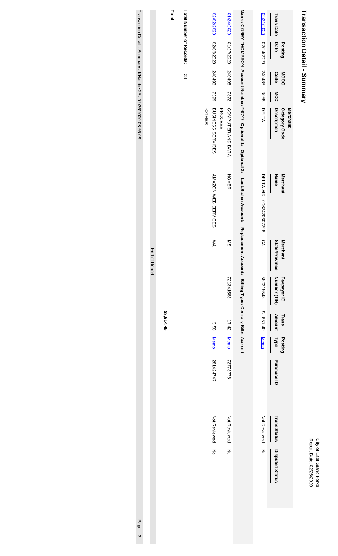| ģ<br>ae<br>ř<br>á<br>۶ | L.<br>L<br>as,<br>i<br>Dila<br>J<br>ors |
|------------------------|-----------------------------------------|
|------------------------|-----------------------------------------|

# Transaction Detail - Summary **Transaction Detail - Summary**

|                                                                 |               | Total      |                          |              | 02/02/2020                          | 01/24/2020                |                                                                                                      | 02/21/2020              | <b>Trans Date</b>                               |
|-----------------------------------------------------------------|---------------|------------|--------------------------|--------------|-------------------------------------|---------------------------|------------------------------------------------------------------------------------------------------|-------------------------|-------------------------------------------------|
|                                                                 |               |            |                          |              |                                     |                           |                                                                                                      |                         |                                                 |
|                                                                 |               |            | Total Number of Records: |              | 02/03/2020                          | 01/27/2020                |                                                                                                      | 02/24/2020              | Date<br>Posting                                 |
|                                                                 |               |            | 23                       |              | 8670458                             | 240498 7372               |                                                                                                      | 240488                  | <b>MCCG</b><br><b>Code</b>                      |
|                                                                 |               |            |                          |              | 7399                                |                           |                                                                                                      | 3058                    | MCC                                             |
| Transaction Detail - Summary / KHatcher25 / 02/26/2020 08:56:09 |               |            |                          | <b>OTHER</b> | BUSINESS SERVICES<br><b>PROCESS</b> | COMPUTER AND DATA         |                                                                                                      | DELTA                   | Description<br><b>Category Code</b><br>Merchant |
|                                                                 |               |            |                          |              | AMAZON WEB SERVICES                 | <b>HOVER</b>              | Name: COREY THOMPSON Account Number: **3747 Optional 1: Optional 2: Lost/Stolen Account: Replacement | DELTA AIR 0062420607298 | Name<br><b>Merchant</b>                         |
|                                                                 | End of Report |            |                          |              | ŠХ                                  | $\mathbb{S}^{\mathbb{C}}$ |                                                                                                      | СA                      | State/Province<br><b>Merchant</b>               |
|                                                                 |               |            |                          |              |                                     | 721341588                 | t Account: Billing Type: Centrally Billed Account                                                    | 580218548               | Number (TIN)<br>Taxpayer ID                     |
|                                                                 |               | \$8,614.45 |                          |              | 3.50                                | 17.42                     |                                                                                                      | \$657.40                | Amount<br>Trans                                 |
|                                                                 |               |            |                          |              | <b>Memo</b>                         | <b>Memo</b>               |                                                                                                      | <b>Memo</b>             | Posting<br>Type                                 |
|                                                                 |               |            |                          |              | 281424747                           | 72773778                  |                                                                                                      |                         | Purchase ID                                     |
|                                                                 |               |            |                          |              | Not Reviewed                        | Not Reviewed              |                                                                                                      | Not Reviewed            | <b>Trans Status</b>                             |
|                                                                 |               |            |                          |              | ξ                                   | $\overline{\varepsilon}$  |                                                                                                      | ξ                       | Disputed Status                                 |
| Page<br>ω                                                       |               |            |                          |              |                                     |                           |                                                                                                      |                         |                                                 |